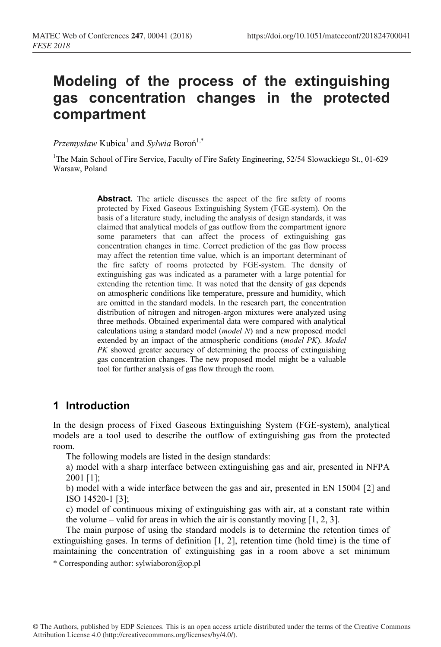# **Modeling of the process of the extinguishing gas concentration changes in the protected compartment**

*Przemysław* Kubica<sup>1</sup> and *Sylwia* Boroń<sup>1,\*</sup>

<sup>1</sup>The Main School of Fire Service, Faculty of Fire Safety Engineering, 52/54 Slowackiego St., 01-629 Warsaw, Poland

> **Abstract.** The article discusses the aspect of the fire safety of rooms protected by Fixed Gaseous Extinguishing System (FGE-system). On the basis of a literature study, including the analysis of design standards, it was claimed that analytical models of gas outflow from the compartment ignore some parameters that can affect the process of extinguishing gas concentration changes in time. Correct prediction of the gas flow process may affect the retention time value, which is an important determinant of the fire safety of rooms protected by FGE-system. The density of extinguishing gas was indicated as a parameter with a large potential for extending the retention time. It was noted that the density of gas depends on atmospheric conditions like temperature, pressure and humidity, which are omitted in the standard models. In the research part, the concentration distribution of nitrogen and nitrogen-argon mixtures were analyzed using three methods. Obtained experimental data were compared with analytical calculations using a standard model (*model N*) and a new proposed model extended by an impact of the atmospheric conditions (*model PK*). *Model PK* showed greater accuracy of determining the process of extinguishing gas concentration changes. The new proposed model might be a valuable tool for further analysis of gas flow through the room.

# **1 Introduction**

In the design process of Fixed Gaseous Extinguishing System (FGE-system), analytical models are a tool used to describe the outflow of extinguishing gas from the protected room.

The following models are listed in the design standards:

a) model with a sharp interface between extinguishing gas and air, presented in NFPA 2001 [1];

b) model with a wide interface between the gas and air, presented in EN 15004 [2] and ISO 14520-1 [3];

c) model of continuous mixing of extinguishing gas with air, at a constant rate within the volume – valid for areas in which the air is constantly moving  $[1, 2, 3]$ .

The main purpose of using the standard models is to determine the retention times of extinguishing gases. In terms of definition [1, 2], retention time (hold time) is the time of maintaining the concentration of extinguishing gas in a room above a set minimum

\* Corresponding author: sylwiaboron@op.pl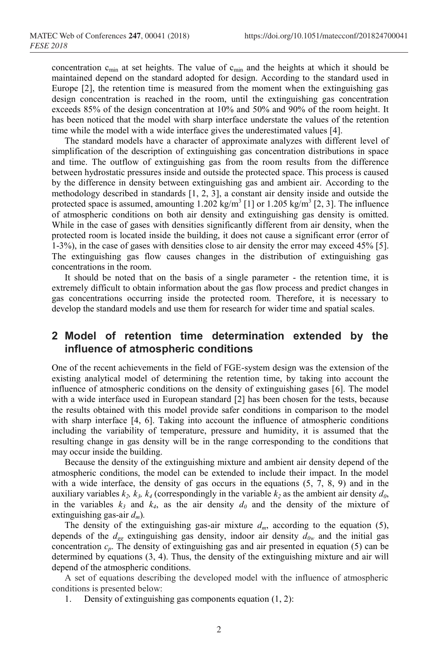concentration  $c_{\min}$  at set heights. The value of  $c_{\min}$  and the heights at which it should be maintained depend on the standard adopted for design. According to the standard used in Europe [2], the retention time is measured from the moment when the extinguishing gas design concentration is reached in the room, until the extinguishing gas concentration exceeds 85% of the design concentration at 10% and 50% and 90% of the room height. It has been noticed that the model with sharp interface understate the values of the retention time while the model with a wide interface gives the underestimated values [4].

The standard models have a character of approximate analyzes with different level of simplification of the description of extinguishing gas concentration distributions in space and time. The outflow of extinguishing gas from the room results from the difference between hydrostatic pressures inside and outside the protected space. This process is caused by the difference in density between extinguishing gas and ambient air. According to the methodology described in standards [1, 2, 3], a constant air density inside and outside the protected space is assumed, amounting  $1.202 \text{ kg/m}^3$  [1] or  $1.205 \text{ kg/m}^3$  [2, 3]. The influence of atmospheric conditions on both air density and extinguishing gas density is omitted. While in the case of gases with densities significantly different from air density, when the protected room is located inside the building, it does not cause a significant error (error of 1-3%), in the case of gases with densities close to air density the error may exceed 45% [5]. The extinguishing gas flow causes changes in the distribution of extinguishing gas concentrations in the room.

It should be noted that on the basis of a single parameter - the retention time, it is extremely difficult to obtain information about the gas flow process and predict changes in gas concentrations occurring inside the protected room. Therefore, it is necessary to develop the standard models and use them for research for wider time and spatial scales.

## **2 Model of retention time determination extended by the influence of atmospheric conditions**

One of the recent achievements in the field of FGE-system design was the extension of the existing analytical model of determining the retention time, by taking into account the influence of atmospheric conditions on the density of extinguishing gases [6]. The model with a wide interface used in European standard [2] has been chosen for the tests, because the results obtained with this model provide safer conditions in comparison to the model with sharp interface [4, 6]. Taking into account the influence of atmospheric conditions including the variability of temperature, pressure and humidity, it is assumed that the resulting change in gas density will be in the range corresponding to the conditions that may occur inside the building.

Because the density of the extinguishing mixture and ambient air density depend of the atmospheric conditions, the model can be extended to include their impact. In the model with a wide interface, the density of gas occurs in the equations  $(5, 7, 8, 9)$  and in the auxiliary variables  $k_2$ ,  $k_3$ ,  $k_4$  (correspondingly in the variable  $k_2$  as the ambient air density  $d_0$ , in the variables  $k_3$  and  $k_4$ , as the air density  $d_0$  and the density of the mixture of extinguishing gas-air *dm*)*.*

The density of the extinguishing gas-air mixture  $d_m$ , according to the equation (5), depends of the  $d_{ge}$  extinguishing gas density, indoor air density  $d_{0w}$  and the initial gas concentration  $c_p$ . The density of extinguishing gas and air presented in equation (5) can be determined by equations (3, 4). Thus, the density of the extinguishing mixture and air will depend of the atmospheric conditions.

A set of equations describing the developed model with the influence of atmospheric conditions is presented below:

1. Density of extinguishing gas components equation (1, 2):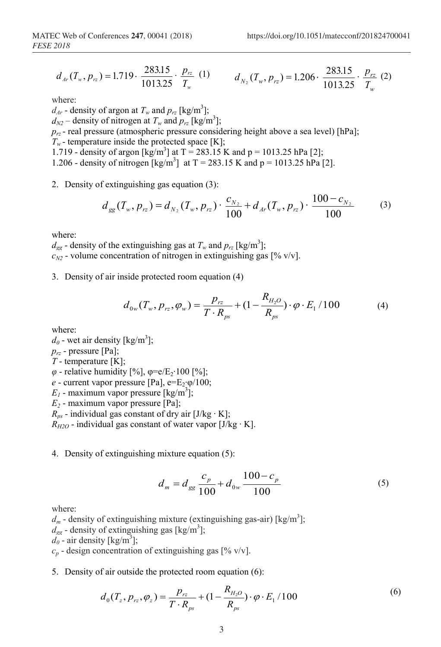$$
d_{Ar}(T_w, p_{rz}) = 1.719 \cdot \frac{283.15}{1013.25} \cdot \frac{p_{rz}}{T_w} \tag{1}
$$

(1) 
$$
d_{N_2}(T_w, p_{rz}) = 1.206 \cdot \frac{283.15}{1013.25} \cdot \frac{p_{rz}}{T_w}
$$
 (2)

where:

 $d_{Ar}$  - density of argon at  $T_w$  and  $p_{rz}$  [kg/m<sup>3</sup>];  $d_{N2}$  – density of nitrogen at  $T_w$  and  $p_{rz}$  [kg/m<sup>3</sup>];

 $p_{rz}$  - real pressure (atmospheric pressure considering height above a sea level) [hPa];

 $T_w$ - temperature inside the protected space [K];

1.719 - density of argon  $[\text{kg/m}^3]$  at T = 283.15 K and p = 1013.25 hPa [2];

1.206 - density of nitrogen  $[\text{kg/m}^3]$  at T = 283.15 K and p = 1013.25 hPa [2].

2. Density of extinguishing gas equation (3):

$$
d_{gg}(T_w, p_{rz}) = d_{N_2}(T_w, p_{rz}) \cdot \frac{c_{N_2}}{100} + d_{Ar}(T_w, p_{rz}) \cdot \frac{100 - c_{N_2}}{100}
$$
 (3)

where:

 $d_{gg}$  - density of the extinguishing gas at  $T_w$  and  $p_{rz}$  [kg/m<sup>3</sup>];  $c_{N2}$  - volume concentration of nitrogen in extinguishing gas  $[\% \text{ v/v}]$ .

3. Density of air inside protected room equation (4)

$$
d_{0w}(T_w, p_{rz}, \varphi_w) = \frac{p_{rz}}{T \cdot R_{ps}} + (1 - \frac{R_{H_2O}}{R_{ps}}) \cdot \varphi \cdot E_1 / 100
$$
 (4)

where:

 $d_{\theta}$  - wet air density [kg/m<sup>3</sup>]; *prz* - pressure [Pa]; *T* - temperature [K]; *φ* - relative humidity [%], φ=e/E<sub>2</sub>⋅100 [%]; *e* - current vapor pressure [Pa], e=E<sub>2</sub>⋅ $\varphi$ /100;  $E_I$  - maximum vapor pressure [kg/m<sup>3</sup>]; *E2* - maximum vapor pressure [Pa];  $R_{ps}$  - individual gas constant of dry air [J/kg ⋅ K];  $R_{H2O}$  - individual gas constant of water vapor [J/kg ⋅ K].

4. Density of extinguishing mixture equation (5):

$$
d_m = d_{gg} \frac{c_p}{100} + d_{0w} \frac{100 - c_p}{100}
$$
 (5)

where:

 $d_m$  - density of extinguishing mixture (extinguishing gas-air) [kg/m<sup>3</sup>];  $d_{gg}$  - density of extinguishing gas [kg/m<sup>3</sup>];  $d_0$  - air density [kg/m<sup>3</sup>];

 $c_p$  - design concentration of extinguishing gas  $[\% \text{ v/v}]$ .

5. Density of air outside the protected room equation (6):

$$
d_0(T_z, p_{rz}, \varphi_z) = \frac{p_{rz}}{T \cdot R_{ps}} + (1 - \frac{R_{H_2O}}{R_{ps}}) \cdot \varphi \cdot E_1 / 100
$$
 (6)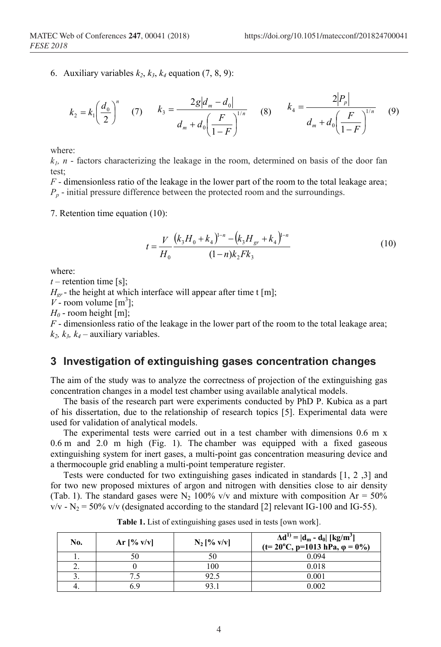6. Auxiliary variables  $k_2$ ,  $k_3$ ,  $k_4$  equation (7, 8, 9):

$$
k_2 = k_1 \left(\frac{d_0}{2}\right)^n \quad (7) \qquad k_3 = \frac{2g|d_m - d_0|}{d_m + d_0 \left(\frac{F}{1 - F}\right)^{1/n}} \quad (8) \qquad k_4 = \frac{2|P_p|}{d_m + d_0 \left(\frac{F}{1 - F}\right)^{1/n}} \quad (9)
$$

where:

 $k<sub>1</sub>$ , *n* - factors characterizing the leakage in the room, determined on basis of the door fan test;

*F* - dimensionless ratio of the leakage in the lower part of the room to the total leakage area;  $P_p$  - initial pressure difference between the protected room and the surroundings.

7. Retention time equation (10):

$$
t = \frac{V}{H_0} \frac{\left(k_3 H_0 + k_4\right)^{1-n} - \left(k_3 H_{gr} + k_4\right)^{1-n}}{(1-n)k_2 F k_3}
$$
(10)

where:

 $t$  – retention time [s];  $H_{gr}$  - the height at which interface will appear after time t [m];  $V$  - room volume  $[m^3]$ ;  $H_0$  - room height [m];

*F* - dimensionless ratio of the leakage in the lower part of the room to the total leakage area;  $k_2$ ,  $k_3$ ,  $k_4$  – auxiliary variables.

#### **3 Investigation of extinguishing gases concentration changes**

The aim of the study was to analyze the correctness of projection of the extinguishing gas concentration changes in a model test chamber using available analytical models.

The basis of the research part were experiments conducted by PhD P. Kubica as a part of his dissertation, due to the relationship of research topics [5]. Experimental data were used for validation of analytical models.

The experimental tests were carried out in a test chamber with dimensions 0.6 m x 0.6 m and 2.0 m high (Fig. 1). The chamber was equipped with a fixed gaseous extinguishing system for inert gases, a multi-point gas concentration measuring device and a thermocouple grid enabling a multi-point temperature register.

Tests were conducted for two extinguishing gases indicated in standards [1, 2 ,3] and for two new proposed mixtures of argon and nitrogen with densities close to air density (Tab. 1). The standard gases were  $N_2$  100% v/v and mixture with composition Ar = 50%  $v/v - N_2 = 50\%$  v/v (designated according to the standard [2] relevant IG-100 and IG-55).

| No. | Ar $[% v/v]$ | $N_2$ [% v/v] | $\Delta d^{1)} =  d_m - d_0  \left[\frac{kg}{m^3}\right]$<br>$(t=20^{\circ}C, p=1013 hPa, \phi = 0\%)$ |  |
|-----|--------------|---------------|--------------------------------------------------------------------------------------------------------|--|
|     |              | 50            | 0.094                                                                                                  |  |
|     |              | 100           | 0.018                                                                                                  |  |
|     |              | 92.5          | 0.001                                                                                                  |  |
|     | 5.9          | 93.1          | 0.002                                                                                                  |  |

**Table 1.** List of extinguishing gases used in tests [own work].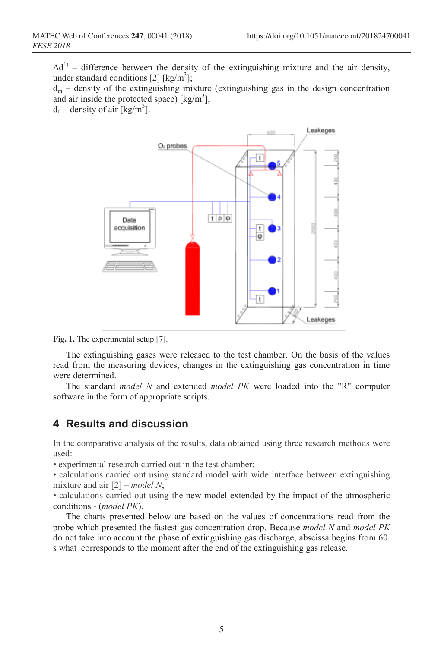$\Delta d^{1}$  – difference between the density of the extinguishing mixture and the air density, under standard conditions [2] [kg/m<sup>3</sup>];

 $d_m$  – density of the extinguishing mixture (extinguishing gas in the design concentration and air inside the protected space) [ $\text{kg/m}^3$ ];

 $d_0$  – density of air [kg/m<sup>3</sup>].





The extinguishing gases were released to the test chamber. On the basis of the values read from the measuring devices, changes in the extinguishing gas concentration in time were determined.

The standard *model N* and extended *model PK* were loaded into the "R" computer software in the form of appropriate scripts.

## **4 Results and discussion**

In the comparative analysis of the results, data obtained using three research methods were used:

• experimental research carried out in the test chamber;

• calculations carried out using standard model with wide interface between extinguishing mixture and air [2] – *model N*;

• calculations carried out using the new model extended by the impact of the atmospheric conditions - (*model PK*).

The charts presented below are based on the values of concentrations read from the probe which presented the fastest gas concentration drop. Because *model N* and *model PK* do not take into account the phase of extinguishing gas discharge, abscissa begins from 60. s what corresponds to the moment after the end of the extinguishing gas release.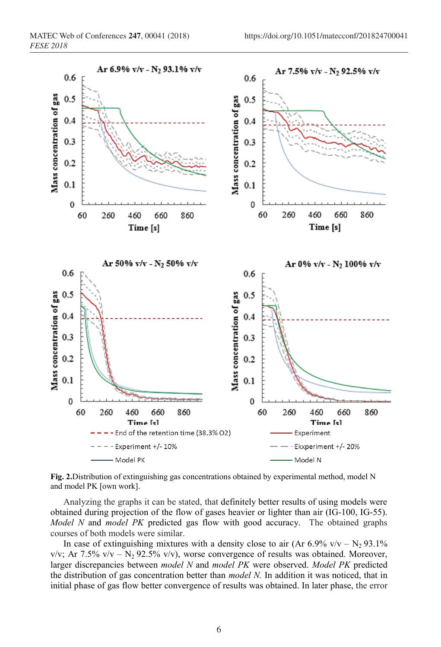

**Fig. 2.**Distribution of extinguishing gas concentrations obtained by experimental method, model N and model PK [own work].

Analyzing the graphs it can be stated, that definitely better results of using models were obtained during projection of the flow of gases heavier or lighter than air (IG-100, IG-55). *Model N* and *model PK* predicted gas flow with good accuracy. The obtained graphs courses of both models were similar.

In case of extinguishing mixtures with a density close to air (Ar  $6.9\%$  v/v – N<sub>2</sub> 93.1%)  $v/v$ ; Ar 7.5%  $v/v - N_2$  92.5%  $v/v$ ), worse convergence of results was obtained. Moreover, larger discrepancies between *model N* and *model PK* were observed. *Model PK* predicted the distribution of gas concentration better than *model N.* In addition it was noticed, that in initial phase of gas flow better convergence of results was obtained. In later phase, the error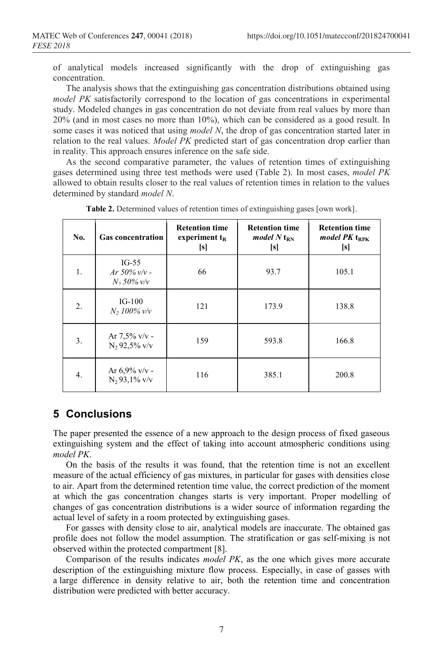of analytical models increased significantly with the drop of extinguishing gas concentration.

The analysis shows that the extinguishing gas concentration distributions obtained using *model PK* satisfactorily correspond to the location of gas concentrations in experimental study. Modeled changes in gas concentration do not deviate from real values by more than 20% (and in most cases no more than 10%), which can be considered as a good result. In some cases it was noticed that using *model N*, the drop of gas concentration started later in relation to the real values. *Model PK* predicted start of gas concentration drop earlier than in reality. This approach ensures inference on the safe side.

As the second comparative parameter, the values of retention times of extinguishing gases determined using three test methods were used (Table 2). In most cases, *model PK*  allowed to obtain results closer to the real values of retention times in relation to the values determined by standard *model N*.

| No. | <b>Gas concentration</b>                    | <b>Retention time</b><br>experiment $t_R$<br>[s] | <b>Retention time</b><br>model N t <sub>RN</sub><br>[s] | <b>Retention time</b><br>model $PK$ t <sub>RPK</sub><br>[s] |
|-----|---------------------------------------------|--------------------------------------------------|---------------------------------------------------------|-------------------------------------------------------------|
| 1.  | $IG-55$<br>$Ar 50\%$ v/v -<br>$N_2$ 50% v/v | 66                                               | 93.7                                                    | 105.1                                                       |
| 2.  | $IG-100$<br>$N_2 100\%$ v/v                 | 121                                              | 173.9                                                   | 138.8                                                       |
| 3.  | Ar $7,5\%$ v/v -<br>$N_2$ 92,5% v/v         | 159                                              | 593.8                                                   | 166.8                                                       |
| 4.  | Ar $6.9\%$ v/v -<br>$N_2$ 93,1% v/v         | 116                                              | 385.1                                                   | 200.8                                                       |

**Table 2.** Determined values of retention times of extinguishing gases [own work].

#### **5 Conclusions**

The paper presented the essence of a new approach to the design process of fixed gaseous extinguishing system and the effect of taking into account atmospheric conditions using *model PK*.

On the basis of the results it was found, that the retention time is not an excellent measure of the actual efficiency of gas mixtures, in particular for gases with densities close to air. Apart from the determined retention time value, the correct prediction of the moment at which the gas concentration changes starts is very important. Proper modelling of changes of gas concentration distributions is a wider source of information regarding the actual level of safety in a room protected by extinguishing gases.

For gasses with density close to air, analytical models are inaccurate. The obtained gas profile does not follow the model assumption. The stratification or gas self-mixing is not observed within the protected compartment [8].

Comparison of the results indicates *model PK*, as the one which gives more accurate description of the extinguishing mixture flow process. Especially, in case of gasses with a large difference in density relative to air, both the retention time and concentration distribution were predicted with better accuracy.